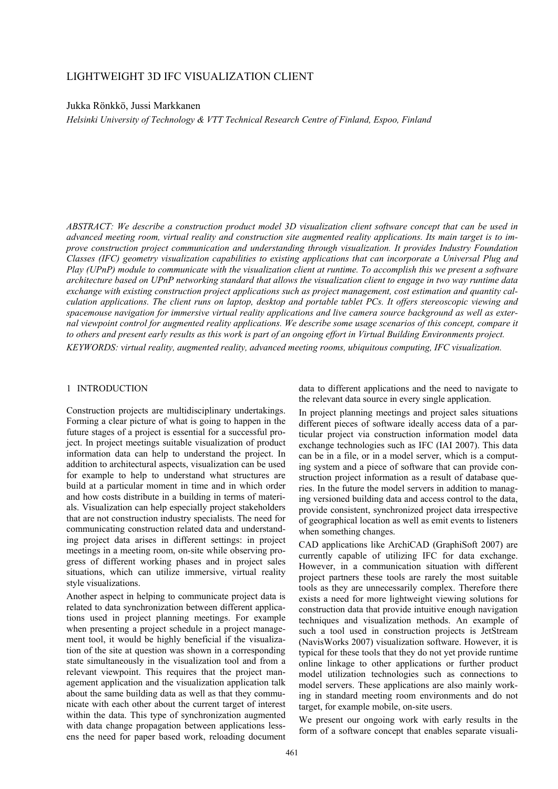# LIGHTWEIGHT 3D IFC VISUALIZATION CLIENT

Jukka Rönkkö, Jussi Markkanen

*Helsinki University of Technology & VTT Technical Research Centre of Finland, Espoo, Finland* 

*ABSTRACT: We describe a construction product model 3D visualization client software concept that can be used in advanced meeting room, virtual reality and construction site augmented reality applications. Its main target is to improve construction project communication and understanding through visualization. It provides Industry Foundation Classes (IFC) geometry visualization capabilities to existing applications that can incorporate a Universal Plug and Play (UPnP) module to communicate with the visualization client at runtime. To accomplish this we present a software architecture based on UPnP networking standard that allows the visualization client to engage in two way runtime data exchange with existing construction project applications such as project management, cost estimation and quantity calculation applications. The client runs on laptop, desktop and portable tablet PCs. It offers stereoscopic viewing and spacemouse navigation for immersive virtual reality applications and live camera source background as well as external viewpoint control for augmented reality applications. We describe some usage scenarios of this concept, compare it to others and present early results as this work is part of an ongoing effort in Virtual Building Environments project. KEYWORDS: virtual reality, augmented reality, advanced meeting rooms, ubiquitous computing, IFC visualization.* 

### 1 INTRODUCTION

Construction projects are multidisciplinary undertakings. Forming a clear picture of what is going to happen in the future stages of a project is essential for a successful project. In project meetings suitable visualization of product information data can help to understand the project. In addition to architectural aspects, visualization can be used for example to help to understand what structures are build at a particular moment in time and in which order and how costs distribute in a building in terms of materials. Visualization can help especially project stakeholders that are not construction industry specialists. The need for communicating construction related data and understanding project data arises in different settings: in project meetings in a meeting room, on-site while observing progress of different working phases and in project sales situations, which can utilize immersive, virtual reality style visualizations.

Another aspect in helping to communicate project data is related to data synchronization between different applications used in project planning meetings. For example when presenting a project schedule in a project management tool, it would be highly beneficial if the visualization of the site at question was shown in a corresponding state simultaneously in the visualization tool and from a relevant viewpoint. This requires that the project management application and the visualization application talk about the same building data as well as that they communicate with each other about the current target of interest within the data. This type of synchronization augmented with data change propagation between applications lessens the need for paper based work, reloading document

data to different applications and the need to navigate to the relevant data source in every single application.

In project planning meetings and project sales situations different pieces of software ideally access data of a particular project via construction information model data exchange technologies such as IFC (IAI 2007). This data can be in a file, or in a model server, which is a computing system and a piece of software that can provide construction project information as a result of database queries. In the future the model servers in addition to managing versioned building data and access control to the data, provide consistent, synchronized project data irrespective of geographical location as well as emit events to listeners when something changes.

CAD applications like ArchiCAD (GraphiSoft 2007) are currently capable of utilizing IFC for data exchange. However, in a communication situation with different project partners these tools are rarely the most suitable tools as they are unnecessarily complex. Therefore there exists a need for more lightweight viewing solutions for construction data that provide intuitive enough navigation techniques and visualization methods. An example of such a tool used in construction projects is JetStream (NavisWorks 2007) visualization software. However, it is typical for these tools that they do not yet provide runtime online linkage to other applications or further product model utilization technologies such as connections to model servers. These applications are also mainly working in standard meeting room environments and do not target, for example mobile, on-site users.

We present our ongoing work with early results in the form of a software concept that enables separate visuali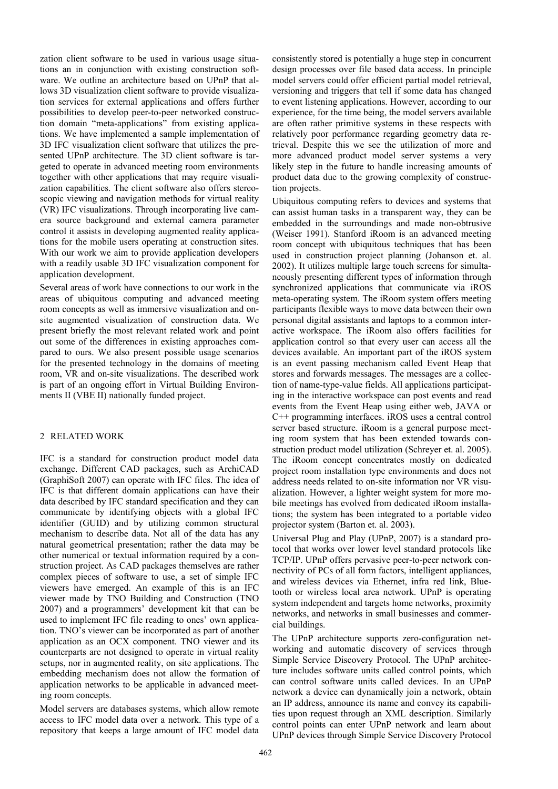zation client software to be used in various usage situations an in conjunction with existing construction software. We outline an architecture based on UPnP that allows 3D visualization client software to provide visualization services for external applications and offers further possibilities to develop peer-to-peer networked construction domain "meta-applications" from existing applications. We have implemented a sample implementation of 3D IFC visualization client software that utilizes the presented UPnP architecture. The 3D client software is targeted to operate in advanced meeting room environments together with other applications that may require visualization capabilities. The client software also offers stereoscopic viewing and navigation methods for virtual reality (VR) IFC visualizations. Through incorporating live camera source background and external camera parameter control it assists in developing augmented reality applications for the mobile users operating at construction sites. With our work we aim to provide application developers with a readily usable 3D IFC visualization component for application development.

Several areas of work have connections to our work in the areas of ubiquitous computing and advanced meeting room concepts as well as immersive visualization and onsite augmented visualization of construction data. We present briefly the most relevant related work and point out some of the differences in existing approaches compared to ours. We also present possible usage scenarios for the presented technology in the domains of meeting room, VR and on-site visualizations. The described work is part of an ongoing effort in Virtual Building Environments II (VBE II) nationally funded project.

## 2 RELATED WORK

IFC is a standard for construction product model data exchange. Different CAD packages, such as ArchiCAD (GraphiSoft 2007) can operate with IFC files. The idea of IFC is that different domain applications can have their data described by IFC standard specification and they can communicate by identifying objects with a global IFC identifier (GUID) and by utilizing common structural mechanism to describe data. Not all of the data has any natural geometrical presentation; rather the data may be other numerical or textual information required by a construction project. As CAD packages themselves are rather complex pieces of software to use, a set of simple IFC viewers have emerged. An example of this is an IFC viewer made by TNO Building and Construction (TNO 2007) and a programmers' development kit that can be used to implement IFC file reading to ones' own application. TNO's viewer can be incorporated as part of another application as an OCX component. TNO viewer and its counterparts are not designed to operate in virtual reality setups, nor in augmented reality, on site applications. The embedding mechanism does not allow the formation of application networks to be applicable in advanced meeting room concepts.

Model servers are databases systems, which allow remote access to IFC model data over a network. This type of a repository that keeps a large amount of IFC model data consistently stored is potentially a huge step in concurrent design processes over file based data access. In principle model servers could offer efficient partial model retrieval, versioning and triggers that tell if some data has changed to event listening applications. However, according to our experience, for the time being, the model servers available are often rather primitive systems in these respects with relatively poor performance regarding geometry data retrieval. Despite this we see the utilization of more and more advanced product model server systems a very likely step in the future to handle increasing amounts of product data due to the growing complexity of construction projects.

Ubiquitous computing refers to devices and systems that can assist human tasks in a transparent way, they can be embedded in the surroundings and made non-obtrusive (Weiser 1991). Stanford iRoom is an advanced meeting room concept with ubiquitous techniques that has been used in construction project planning (Johanson et. al. 2002). It utilizes multiple large touch screens for simultaneously presenting different types of information through synchronized applications that communicate via iROS meta-operating system. The iRoom system offers meeting participants flexible ways to move data between their own personal digital assistants and laptops to a common interactive workspace. The iRoom also offers facilities for application control so that every user can access all the devices available. An important part of the iROS system is an event passing mechanism called Event Heap that stores and forwards messages. The messages are a collection of name-type-value fields. All applications participating in the interactive workspace can post events and read events from the Event Heap using either web, JAVA or C++ programming interfaces. iROS uses a central control server based structure. iRoom is a general purpose meeting room system that has been extended towards construction product model utilization (Schreyer et. al. 2005). The iRoom concept concentrates mostly on dedicated project room installation type environments and does not address needs related to on-site information nor VR visualization. However, a lighter weight system for more mobile meetings has evolved from dedicated iRoom installations; the system has been integrated to a portable video projector system (Barton et. al. 2003).

Universal Plug and Play (UPnP, 2007) is a standard protocol that works over lower level standard protocols like TCP/IP. UPnP offers pervasive peer-to-peer network connectivity of PCs of all form factors, intelligent appliances, and wireless devices via Ethernet, infra red link, Bluetooth or wireless local area network. UPnP is operating system independent and targets home networks, proximity networks, and networks in small businesses and commercial buildings.

The UPnP architecture supports zero-configuration networking and automatic discovery of services through Simple Service Discovery Protocol. The UPnP architecture includes software units called control points, which can control software units called devices. In an UPnP network a device can dynamically join a network, obtain an IP address, announce its name and convey its capabilities upon request through an XML description. Similarly control points can enter UPnP network and learn about UPnP devices through Simple Service Discovery Protocol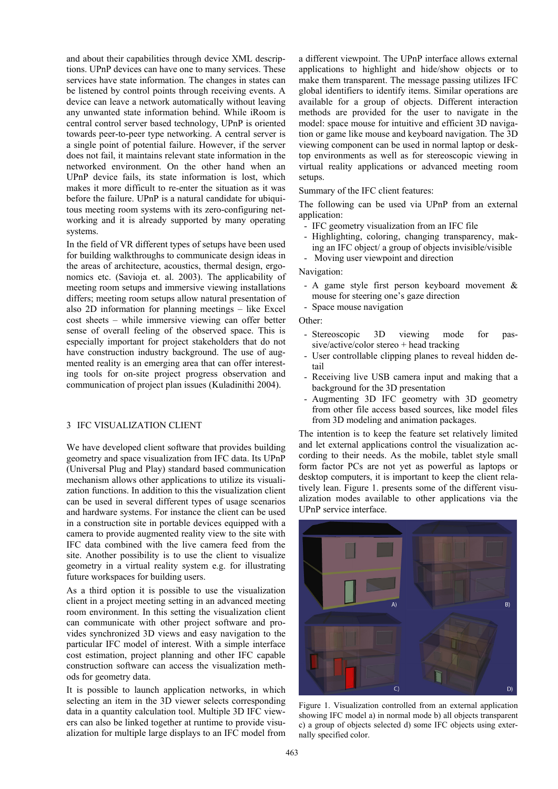and about their capabilities through device XML descriptions. UPnP devices can have one to many services. These services have state information. The changes in states can be listened by control points through receiving events. A device can leave a network automatically without leaving any unwanted state information behind. While iRoom is central control server based technology, UPnP is oriented towards peer-to-peer type networking. A central server is a single point of potential failure. However, if the server does not fail, it maintains relevant state information in the networked environment. On the other hand when an UPnP device fails, its state information is lost, which makes it more difficult to re-enter the situation as it was before the failure. UPnP is a natural candidate for ubiquitous meeting room systems with its zero-configuring networking and it is already supported by many operating systems.

In the field of VR different types of setups have been used for building walkthroughs to communicate design ideas in the areas of architecture, acoustics, thermal design, ergonomics etc. (Savioja et. al. 2003). The applicability of meeting room setups and immersive viewing installations differs; meeting room setups allow natural presentation of also 2D information for planning meetings – like Excel cost sheets – while immersive viewing can offer better sense of overall feeling of the observed space. This is especially important for project stakeholders that do not have construction industry background. The use of augmented reality is an emerging area that can offer interesting tools for on-site project progress observation and communication of project plan issues (Kuladinithi 2004).

### 3 IFC VISUALIZATION CLIENT

We have developed client software that provides building geometry and space visualization from IFC data. Its UPnP (Universal Plug and Play) standard based communication mechanism allows other applications to utilize its visualization functions. In addition to this the visualization client can be used in several different types of usage scenarios and hardware systems. For instance the client can be used in a construction site in portable devices equipped with a camera to provide augmented reality view to the site with IFC data combined with the live camera feed from the site. Another possibility is to use the client to visualize geometry in a virtual reality system e.g. for illustrating future workspaces for building users.

As a third option it is possible to use the visualization client in a project meeting setting in an advanced meeting room environment. In this setting the visualization client can communicate with other project software and provides synchronized 3D views and easy navigation to the particular IFC model of interest. With a simple interface cost estimation, project planning and other IFC capable construction software can access the visualization methods for geometry data.

It is possible to launch application networks, in which selecting an item in the 3D viewer selects corresponding data in a quantity calculation tool. Multiple 3D IFC viewers can also be linked together at runtime to provide visualization for multiple large displays to an IFC model from a different viewpoint. The UPnP interface allows external applications to highlight and hide/show objects or to make them transparent. The message passing utilizes IFC global identifiers to identify items. Similar operations are available for a group of objects. Different interaction methods are provided for the user to navigate in the model: space mouse for intuitive and efficient 3D navigation or game like mouse and keyboard navigation. The 3D viewing component can be used in normal laptop or desktop environments as well as for stereoscopic viewing in virtual reality applications or advanced meeting room setups.

Summary of the IFC client features:

The following can be used via UPnP from an external application:

- IFC geometry visualization from an IFC file
- Highlighting, coloring, changing transparency, making an IFC object/ a group of objects invisible/visible
- Moving user viewpoint and direction

Navigation:

- A game style first person keyboard movement & mouse for steering one's gaze direction
- Space mouse navigation

Other:

- Stereoscopic 3D viewing mode for passive/active/color stereo + head tracking
- User controllable clipping planes to reveal hidden detail
- Receiving live USB camera input and making that a background for the 3D presentation
- Augmenting 3D IFC geometry with 3D geometry from other file access based sources, like model files from 3D modeling and animation packages.

The intention is to keep the feature set relatively limited and let external applications control the visualization according to their needs. As the mobile, tablet style small form factor PCs are not yet as powerful as laptops or desktop computers, it is important to keep the client relatively lean. Figure 1. presents some of the different visualization modes available to other applications via the UPnP service interface.



Figure 1. Visualization controlled from an external application showing IFC model a) in normal mode b) all objects transparent c) a group of objects selected d) some IFC objects using externally specified color.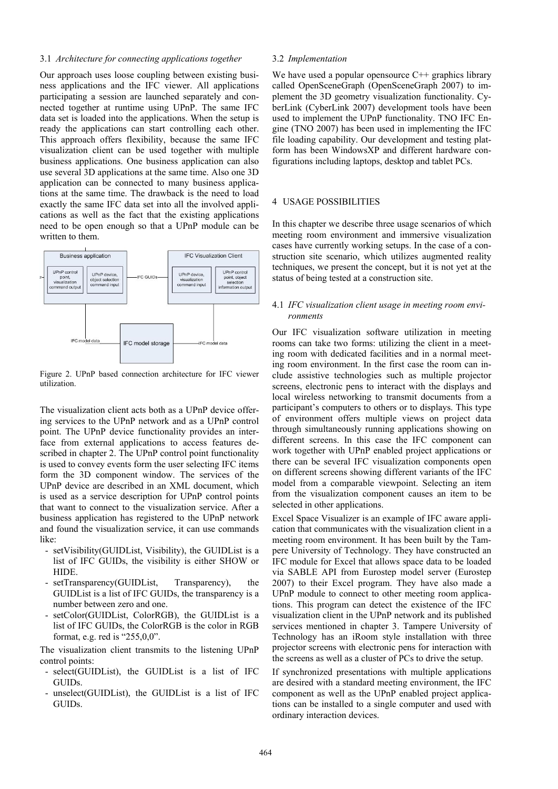#### 3.1 *Architecture for connecting applications together*

Our approach uses loose coupling between existing business applications and the IFC viewer. All applications participating a session are launched separately and connected together at runtime using UPnP. The same IFC data set is loaded into the applications. When the setup is ready the applications can start controlling each other. This approach offers flexibility, because the same IFC visualization client can be used together with multiple business applications. One business application can also use several 3D applications at the same time. Also one 3D application can be connected to many business applications at the same time. The drawback is the need to load exactly the same IFC data set into all the involved applications as well as the fact that the existing applications need to be open enough so that a UPnP module can be written to them.



Figure 2. UPnP based connection architecture for IFC viewer utilization.

The visualization client acts both as a UPnP device offering services to the UPnP network and as a UPnP control point. The UPnP device functionality provides an interface from external applications to access features described in chapter 2. The UPnP control point functionality is used to convey events form the user selecting IFC items form the 3D component window. The services of the UPnP device are described in an XML document, which is used as a service description for UPnP control points that want to connect to the visualization service. After a business application has registered to the UPnP network and found the visualization service, it can use commands like:

- setVisibility(GUIDList, Visibility), the GUIDList is a list of IFC GUIDs, the visibility is either SHOW or HIDE.
- setTransparency(GUIDList, Transparency), the GUIDList is a list of IFC GUIDs, the transparency is a number between zero and one.
- setColor(GUIDList, ColorRGB), the GUIDList is a list of IFC GUIDs, the ColorRGB is the color in RGB format, e.g. red is "255,0,0".

The visualization client transmits to the listening UPnP control points:

- select(GUIDList), the GUIDList is a list of IFC GUIDs.
- $unselect(GUIDList)$ , the GUIDList is a list of IFC GUIDs.

#### 3.2 *Implementation*

We have used a popular opensource  $C^{++}$  graphics library called OpenSceneGraph (OpenSceneGraph 2007) to implement the 3D geometry visualization functionality. CyberLink (CyberLink 2007) development tools have been used to implement the UPnP functionality. TNO IFC Engine (TNO 2007) has been used in implementing the IFC file loading capability. Our development and testing platform has been WindowsXP and different hardware configurations including laptops, desktop and tablet PCs.

### 4 USAGE POSSIBILITIES

In this chapter we describe three usage scenarios of which meeting room environment and immersive visualization cases have currently working setups. In the case of a construction site scenario, which utilizes augmented reality techniques, we present the concept, but it is not yet at the status of being tested at a construction site.

### 4.1 *IFC visualization client usage in meeting room environments*

Our IFC visualization software utilization in meeting rooms can take two forms: utilizing the client in a meeting room with dedicated facilities and in a normal meeting room environment. In the first case the room can include assistive technologies such as multiple projector screens, electronic pens to interact with the displays and local wireless networking to transmit documents from a participant's computers to others or to displays. This type of environment offers multiple views on project data through simultaneously running applications showing on different screens. In this case the IFC component can work together with UPnP enabled project applications or there can be several IFC visualization components open on different screens showing different variants of the IFC model from a comparable viewpoint. Selecting an item from the visualization component causes an item to be selected in other applications.

Excel Space Visualizer is an example of IFC aware application that communicates with the visualization client in a meeting room environment. It has been built by the Tampere University of Technology. They have constructed an IFC module for Excel that allows space data to be loaded via SABLE API from Eurostep model server (Eurostep 2007) to their Excel program. They have also made a UPnP module to connect to other meeting room applications. This program can detect the existence of the IFC visualization client in the UPnP network and its published services mentioned in chapter 3. Tampere University of Technology has an iRoom style installation with three projector screens with electronic pens for interaction with the screens as well as a cluster of PCs to drive the setup.

If synchronized presentations with multiple applications are desired with a standard meeting environment, the IFC component as well as the UPnP enabled project applications can be installed to a single computer and used with ordinary interaction devices.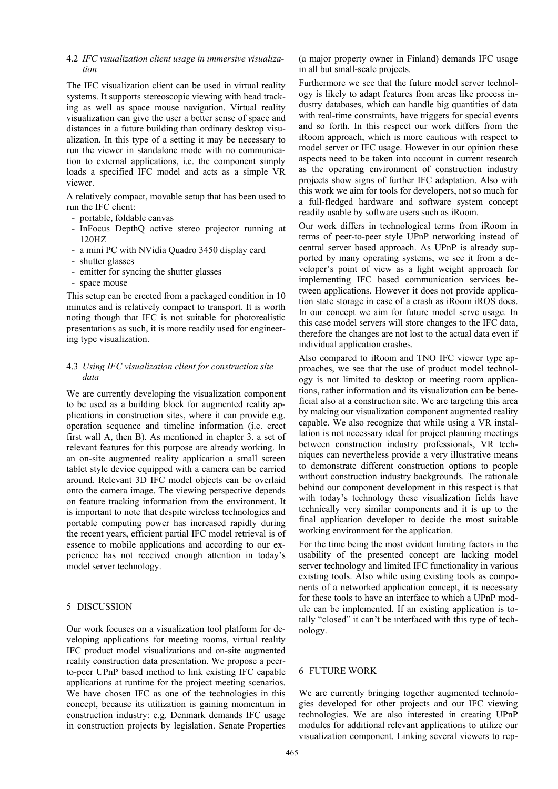#### 4.2 *IFC visualization client usage in immersive visualization*

The IFC visualization client can be used in virtual reality systems. It supports stereoscopic viewing with head tracking as well as space mouse navigation. Virtual reality visualization can give the user a better sense of space and distances in a future building than ordinary desktop visualization. In this type of a setting it may be necessary to run the viewer in standalone mode with no communication to external applications, i.e. the component simply loads a specified IFC model and acts as a simple VR viewer.

A relatively compact, movable setup that has been used to run the IFC client:

- portable, foldable canvas
- InFocus DepthQ active stereo projector running at 120HZ
- a mini PC with NVidia Quadro 3450 display card
- shutter glasses
- emitter for syncing the shutter glasses
- space mouse

This setup can be erected from a packaged condition in 10 minutes and is relatively compact to transport. It is worth noting though that IFC is not suitable for photorealistic presentations as such, it is more readily used for engineering type visualization.

### 4.3 *Using IFC visualization client for construction site data*

We are currently developing the visualization component to be used as a building block for augmented reality applications in construction sites, where it can provide e.g. operation sequence and timeline information (i.e. erect first wall A, then B). As mentioned in chapter 3. a set of relevant features for this purpose are already working. In an on-site augmented reality application a small screen tablet style device equipped with a camera can be carried around. Relevant 3D IFC model objects can be overlaid onto the camera image. The viewing perspective depends on feature tracking information from the environment. It is important to note that despite wireless technologies and portable computing power has increased rapidly during the recent years, efficient partial IFC model retrieval is of essence to mobile applications and according to our experience has not received enough attention in today's model server technology.

#### 5 DISCUSSION

Our work focuses on a visualization tool platform for developing applications for meeting rooms, virtual reality IFC product model visualizations and on-site augmented reality construction data presentation. We propose a peerto-peer UPnP based method to link existing IFC capable applications at runtime for the project meeting scenarios. We have chosen IFC as one of the technologies in this concept, because its utilization is gaining momentum in construction industry: e.g. Denmark demands IFC usage in construction projects by legislation. Senate Properties (a major property owner in Finland) demands IFC usage in all but small-scale projects.

Furthermore we see that the future model server technology is likely to adapt features from areas like process industry databases, which can handle big quantities of data with real-time constraints, have triggers for special events and so forth. In this respect our work differs from the iRoom approach, which is more cautious with respect to model server or IFC usage. However in our opinion these aspects need to be taken into account in current research as the operating environment of construction industry projects show signs of further IFC adaptation. Also with this work we aim for tools for developers, not so much for a full-fledged hardware and software system concept readily usable by software users such as iRoom.

Our work differs in technological terms from iRoom in terms of peer-to-peer style UPnP networking instead of central server based approach. As UPnP is already supported by many operating systems, we see it from a developer's point of view as a light weight approach for implementing IFC based communication services between applications. However it does not provide application state storage in case of a crash as iRoom iROS does. In our concept we aim for future model serve usage. In this case model servers will store changes to the IFC data, therefore the changes are not lost to the actual data even if individual application crashes.

Also compared to iRoom and TNO IFC viewer type approaches, we see that the use of product model technology is not limited to desktop or meeting room applications, rather information and its visualization can be beneficial also at a construction site. We are targeting this area by making our visualization component augmented reality capable. We also recognize that while using a VR installation is not necessary ideal for project planning meetings between construction industry professionals, VR techniques can nevertheless provide a very illustrative means to demonstrate different construction options to people without construction industry backgrounds. The rationale behind our component development in this respect is that with today's technology these visualization fields have technically very similar components and it is up to the final application developer to decide the most suitable working environment for the application.

For the time being the most evident limiting factors in the usability of the presented concept are lacking model server technology and limited IFC functionality in various existing tools. Also while using existing tools as components of a networked application concept, it is necessary for these tools to have an interface to which a UPnP module can be implemented. If an existing application is totally "closed" it can't be interfaced with this type of technology.

### 6 FUTURE WORK

We are currently bringing together augmented technologies developed for other projects and our IFC viewing technologies. We are also interested in creating UPnP modules for additional relevant applications to utilize our visualization component. Linking several viewers to rep